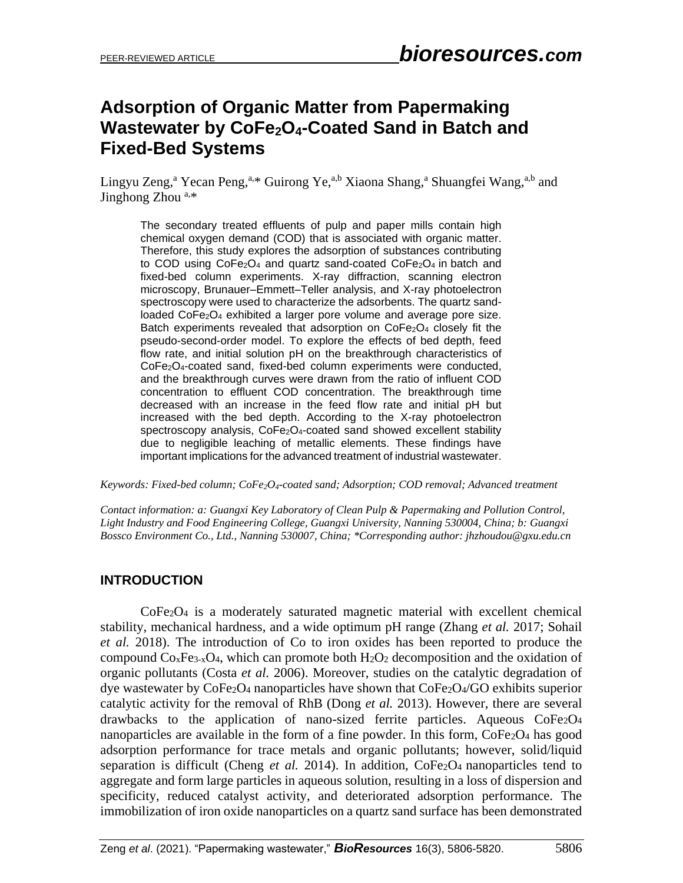# **Adsorption of Organic Matter from Papermaking Wastewater by CoFe2O4-Coated Sand in Batch and Fixed-Bed Systems**

Lingyu Zeng,<sup>a</sup> Yecan Peng,<sup>a,\*</sup> Guirong Ye,<sup>a,b</sup> Xiaona Shang,<sup>a</sup> Shuangfei Wang,<sup>a,b</sup> and Jinghong Zhou a,\*

The secondary treated effluents of pulp and paper mills contain high chemical oxygen demand (COD) that is associated with organic matter. Therefore, this study explores the adsorption of substances contributing to COD using CoFe<sub>2</sub>O<sub>4</sub> and quartz sand-coated CoFe<sub>2</sub>O<sub>4</sub> in batch and fixed-bed column experiments. X-ray diffraction, scanning electron microscopy, Brunauer–Emmett–Teller analysis, and X-ray photoelectron spectroscopy were used to characterize the adsorbents. The quartz sandloaded CoFe<sub>2</sub>O<sub>4</sub> exhibited a larger pore volume and average pore size. Batch experiments revealed that adsorption on  $CoFe<sub>2</sub>O<sub>4</sub>$  closely fit the pseudo-second-order model. To explore the effects of bed depth, feed flow rate, and initial solution pH on the breakthrough characteristics of CoFe2O4-coated sand, fixed-bed column experiments were conducted, and the breakthrough curves were drawn from the ratio of influent COD concentration to effluent COD concentration. The breakthrough time decreased with an increase in the feed flow rate and initial pH but increased with the bed depth. According to the X-ray photoelectron spectroscopy analysis, CoFe<sub>2</sub>O<sub>4</sub>-coated sand showed excellent stability due to negligible leaching of metallic elements. These findings have important implications for the advanced treatment of industrial wastewater.

*Keywords: Fixed-bed column; CoFe2O4-coated sand; Adsorption; COD removal; Advanced treatment*

*Contact information: a: Guangxi Key Laboratory of Clean Pulp & Papermaking and Pollution Control, Light Industry and Food Engineering College, Guangxi University, Nanning 530004, China; b: Guangxi Bossco Environment Co., Ltd., Nanning 530007, China; \*Corresponding author: jhzhoudou@gxu.edu.cn*

#### **INTRODUCTION**

CoFe2O<sup>4</sup> is a moderately saturated magnetic material with excellent chemical stability, mechanical hardness, and a wide optimum pH range (Zhang *et al.* 2017; Sohail *et al.* 2018). The introduction of Co to iron oxides has been reported to produce the compound  $\rm{Co}_{x}Fe_{3-x}O_{4}$ , which can promote both  $\rm{H}_{2}O_{2}$  decomposition and the oxidation of organic pollutants (Costa *et al.* 2006). Moreover, studies on the catalytic degradation of dye wastewater by CoFe2O<sup>4</sup> nanoparticles have shown that CoFe2O4/GO exhibits superior catalytic activity for the removal of RhB (Dong *et al.* 2013). However, there are several drawbacks to the application of nano-sized ferrite particles. Aqueous CoFe2O<sup>4</sup> nanoparticles are available in the form of a fine powder. In this form,  $\text{CoFe}_2\text{O}_4$  has good adsorption performance for trace metals and organic pollutants; however, solid/liquid separation is difficult (Cheng *et al.* 2014). In addition,  $\text{CoFe}_2\text{O}_4$  nanoparticles tend to aggregate and form large particles in aqueous solution, resulting in a loss of dispersion and specificity, reduced catalyst activity, and deteriorated adsorption performance. The immobilization of iron oxide nanoparticles on a quartz sand surface has been demonstrated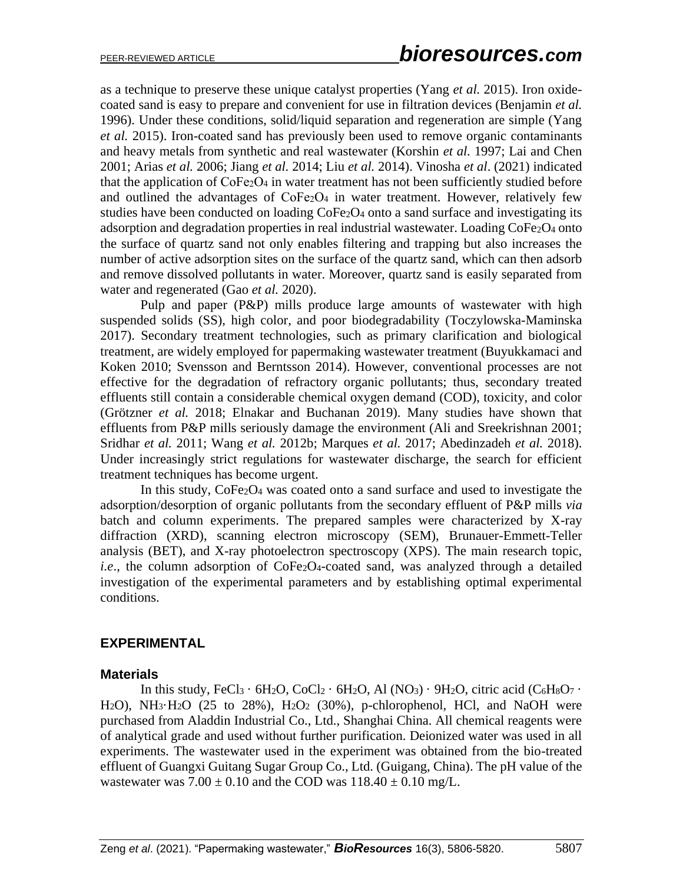as a technique to preserve these unique catalyst properties (Yang *et al.* 2015). Iron oxidecoated sand is easy to prepare and convenient for use in filtration devices (Benjamin *et al.* 1996). Under these conditions, solid/liquid separation and regeneration are simple (Yang *et al.* 2015). Iron-coated sand has previously been used to remove organic contaminants and heavy metals from synthetic and real wastewater (Korshin *et al.* 1997; Lai and Chen 2001; Arias *et al.* 2006; Jiang *et al.* 2014; Liu *et al.* 2014). Vinosha *et al*. (2021) indicated that the application of CoFe<sub>2</sub>O<sub>4</sub> in water treatment has not been sufficiently studied before and outlined the advantages of  $\text{CoFe}_2\text{O}_4$  in water treatment. However, relatively few studies have been conducted on loading CoFe<sub>2</sub>O<sub>4</sub> onto a sand surface and investigating its adsorption and degradation properties in real industrial wastewater. Loading CoFe<sub>2</sub>O<sub>4</sub> onto the surface of quartz sand not only enables filtering and trapping but also increases the number of active adsorption sites on the surface of the quartz sand, which can then adsorb and remove dissolved pollutants in water. Moreover, quartz sand is easily separated from water and regenerated (Gao *et al.* 2020).

Pulp and paper (P&P) mills produce large amounts of wastewater with high suspended solids (SS), high color, and poor biodegradability (Toczylowska-Maminska 2017). Secondary treatment technologies, such as primary clarification and biological treatment, are widely employed for papermaking wastewater treatment (Buyukkamaci and Koken 2010; Svensson and Berntsson 2014). However, conventional processes are not effective for the degradation of refractory organic pollutants; thus, secondary treated effluents still contain a considerable chemical oxygen demand (COD), toxicity, and color (Grötzner *et al.* 2018; Elnakar and Buchanan 2019). Many studies have shown that effluents from P&P mills seriously damage the environment (Ali and Sreekrishnan 2001; Sridhar *et al.* 2011; Wang *et al.* 2012b; Marques *et al.* 2017; Abedinzadeh *et al.* 2018). Under increasingly strict regulations for wastewater discharge, the search for efficient treatment techniques has become urgent.

In this study, CoFe2O<sup>4</sup> was coated onto a sand surface and used to investigate the adsorption/desorption of organic pollutants from the secondary effluent of P&P mills *via* batch and column experiments. The prepared samples were characterized by X-ray diffraction (XRD), scanning electron microscopy (SEM), Brunauer-Emmett-Teller analysis (BET), and X-ray photoelectron spectroscopy (XPS). The main research topic, *i.e.*, the column adsorption of CoFe<sub>2</sub>O<sub>4</sub>-coated sand, was analyzed through a detailed investigation of the experimental parameters and by establishing optimal experimental conditions.

#### **EXPERIMENTAL**

#### **Materials**

In this study, FeCl<sub>3</sub> · 6H<sub>2</sub>O, CoCl<sub>2</sub> · 6H<sub>2</sub>O, Al (NO<sub>3</sub>) · 9H<sub>2</sub>O, citric acid (C<sub>6</sub>H<sub>8</sub>O<sub>7</sub> · H<sub>2</sub>O), NH<sub>3</sub>·H<sub>2</sub>O (25 to 28%), H<sub>2</sub>O<sub>2</sub> (30%), p-chlorophenol, HCl, and NaOH were purchased from Aladdin Industrial Co., Ltd., Shanghai China. All chemical reagents were of analytical grade and used without further purification. Deionized water was used in all experiments. The wastewater used in the experiment was obtained from the bio-treated effluent of Guangxi Guitang Sugar Group Co., Ltd. (Guigang, China). The pH value of the wastewater was  $7.00 \pm 0.10$  and the COD was  $118.40 \pm 0.10$  mg/L.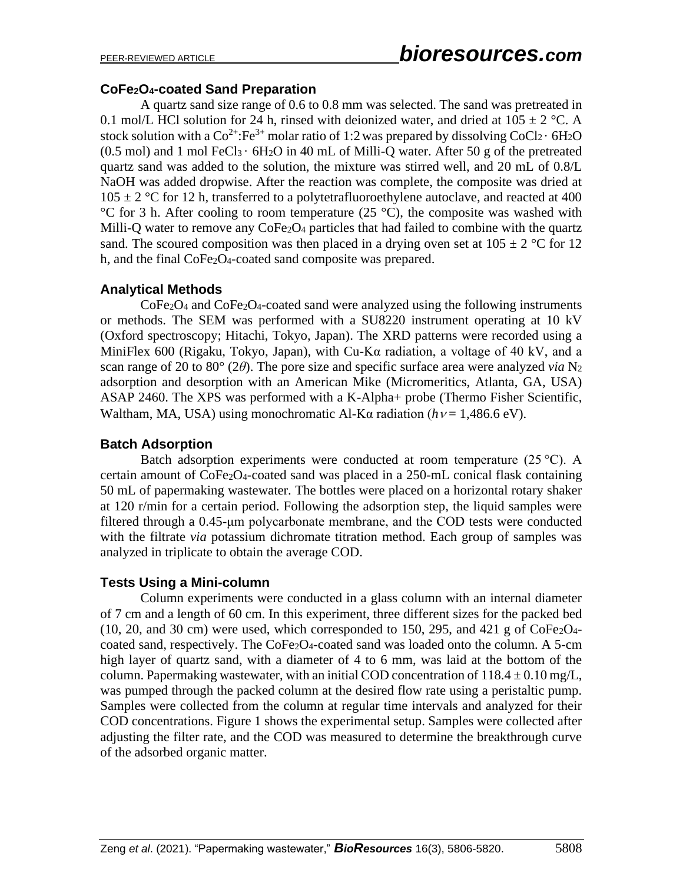### **CoFe2O4-coated Sand Preparation**

A quartz sand size range of 0.6 to 0.8 mm was selected. The sand was pretreated in 0.1 mol/L HCl solution for 24 h, rinsed with deionized water, and dried at  $105 \pm 2$  °C. A stock solution with a  $Co^{2+}$ : Fe<sup>3+</sup> molar ratio of 1:2 was prepared by dissolving  $CoCl_2 \cdot 6H_2O$  $(0.5 \text{ mol})$  and 1 mol FeCl<sub>3</sub> ·  $6H_2O$  in 40 mL of Milli-Q water. After 50 g of the pretreated quartz sand was added to the solution, the mixture was stirred well, and 20 mL of 0.8/L NaOH was added dropwise. After the reaction was complete, the composite was dried at  $105 \pm 2$  °C for 12 h, transferred to a polytetrafluoroethylene autoclave, and reacted at 400 °C for 3 h. After cooling to room temperature (25 °C), the composite was washed with Milli-Q water to remove any CoFe<sub>2</sub>O<sub>4</sub> particles that had failed to combine with the quartz sand. The scoured composition was then placed in a drying oven set at  $105 \pm 2$  °C for 12 h, and the final CoFe<sub>2</sub>O<sub>4</sub>-coated sand composite was prepared.

## **Analytical Methods**

CoFe2O<sup>4</sup> and CoFe2O4-coated sand were analyzed using the following instruments or methods. The SEM was performed with a SU8220 instrument operating at 10 kV (Oxford spectroscopy; Hitachi, Tokyo, Japan). The XRD patterns were recorded using a MiniFlex 600 (Rigaku, Tokyo, Japan), with Cu-Kα radiation, a voltage of 40 kV, and a scan range of 20 to 80° (2*θ*). The pore size and specific surface area were analyzed *via* N<sup>2</sup> adsorption and desorption with an American Mike (Micromeritics, Atlanta, GA, USA) ASAP 2460. The XPS was performed with a K-Alpha+ probe (Thermo Fisher Scientific, Waltham, MA, USA) using monochromatic Al-K $\alpha$  radiation ( $h$   $\nu$  = 1,486.6 eV).

#### **Batch Adsorption**

Batch adsorption experiments were conducted at room temperature  $(25 °C)$ . A certain amount of  $\text{CoFe}_2\text{O}_4$ -coated sand was placed in a 250-mL conical flask containing 50 mL of papermaking wastewater. The bottles were placed on a horizontal rotary shaker at 120 r/min for a certain period. Following the adsorption step, the liquid samples were filtered through a 0.45-μm polycarbonate membrane, and the COD tests were conducted with the filtrate *via* potassium dichromate titration method. Each group of samples was analyzed in triplicate to obtain the average COD.

#### **Tests Using a Mini-column**

Column experiments were conducted in a glass column with an internal diameter of 7 cm and a length of 60 cm. In this experiment, three different sizes for the packed bed  $(10, 20, \text{ and } 30 \text{ cm})$  were used, which corresponded to 150, 295, and 421 g of CoFe<sub>2</sub>O<sub>4</sub>coated sand, respectively. The CoFe2O4-coated sand was loaded onto the column. A 5-cm high layer of quartz sand, with a diameter of 4 to 6 mm, was laid at the bottom of the column. Papermaking wastewater, with an initial COD concentration of  $118.4 \pm 0.10$  mg/L, was pumped through the packed column at the desired flow rate using a peristaltic pump. Samples were collected from the column at regular time intervals and analyzed for their COD concentrations. Figure 1 shows the experimental setup. Samples were collected after adjusting the filter rate, and the COD was measured to determine the breakthrough curve of the adsorbed organic matter.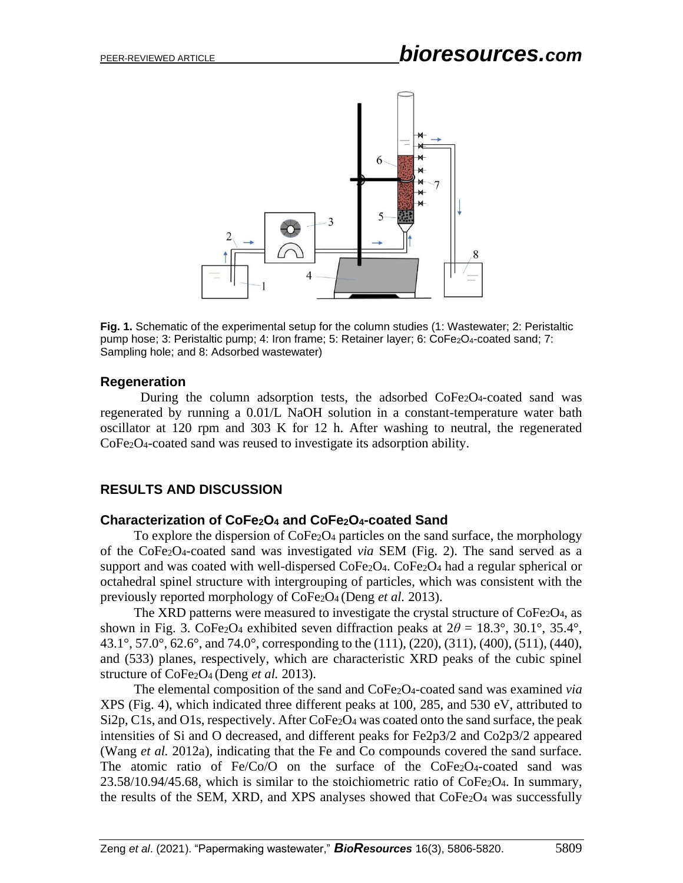

**Fig. 1.** Schematic of the experimental setup for the column studies (1: Wastewater; 2: Peristaltic pump hose; 3: Peristaltic pump; 4: Iron frame; 5: Retainer layer; 6: CoFe2O4-coated sand; 7: Sampling hole; and 8: Adsorbed wastewater)

#### **Regeneration**

During the column adsorption tests, the adsorbed  $\text{CoFe}_2\text{O}_4$ -coated sand was regenerated by running a 0.01/L NaOH solution in a constant-temperature water bath oscillator at 120 rpm and 303 K for 12 h. After washing to neutral, the regenerated CoFe2O4-coated sand was reused to investigate its adsorption ability.

#### **RESULTS AND DISCUSSION**

#### **Characterization of CoFe2O<sup>4</sup> and CoFe2O4-coated Sand**

To explore the dispersion of CoFe2O<sup>4</sup> particles on the sand surface, the morphology of the CoFe2O4-coated sand was investigated *via* SEM (Fig. 2). The sand served as a support and was coated with well-dispersed  $\text{CoFe}_2\text{O}_4$ .  $\text{CoFe}_2\text{O}_4$  had a regular spherical or octahedral spinel structure with intergrouping of particles, which was consistent with the previously reported morphology of CoFe2O<sup>4</sup> (Deng *et al.* 2013).

The XRD patterns were measured to investigate the crystal structure of CoFe<sub>2</sub>O<sub>4</sub>, as shown in Fig. 3. CoFe<sub>2</sub>O<sub>4</sub> exhibited seven diffraction peaks at  $2\theta = 18.3^{\circ}$ , 30.1°, 35.4°, 43.1°, 57.0°, 62.6°, and 74.0°, corresponding to the (111), (220), (311), (400), (511), (440), and (533) planes, respectively, which are characteristic XRD peaks of the cubic spinel structure of CoFe2O4 (Deng *et al.* 2013).

The elemental composition of the sand and CoFe2O4-coated sand was examined *via* XPS (Fig. 4), which indicated three different peaks at 100, 285, and 530 eV, attributed to Si2p, C1s, and O1s, respectively. After CoFe<sub>2</sub>O<sub>4</sub> was coated onto the sand surface, the peak intensities of Si and O decreased, and different peaks for Fe2p3/2 and Co2p3/2 appeared (Wang *et al.* 2012a), indicating that the Fe and Co compounds covered the sand surface. The atomic ratio of Fe/Co/O on the surface of the CoFe<sub>2</sub>O<sub>4</sub>-coated sand was  $23.58/10.94/45.68$ , which is similar to the stoichiometric ratio of CoFe<sub>2</sub>O<sub>4</sub>. In summary, the results of the SEM, XRD, and XPS analyses showed that CoFe<sub>2</sub>O<sub>4</sub> was successfully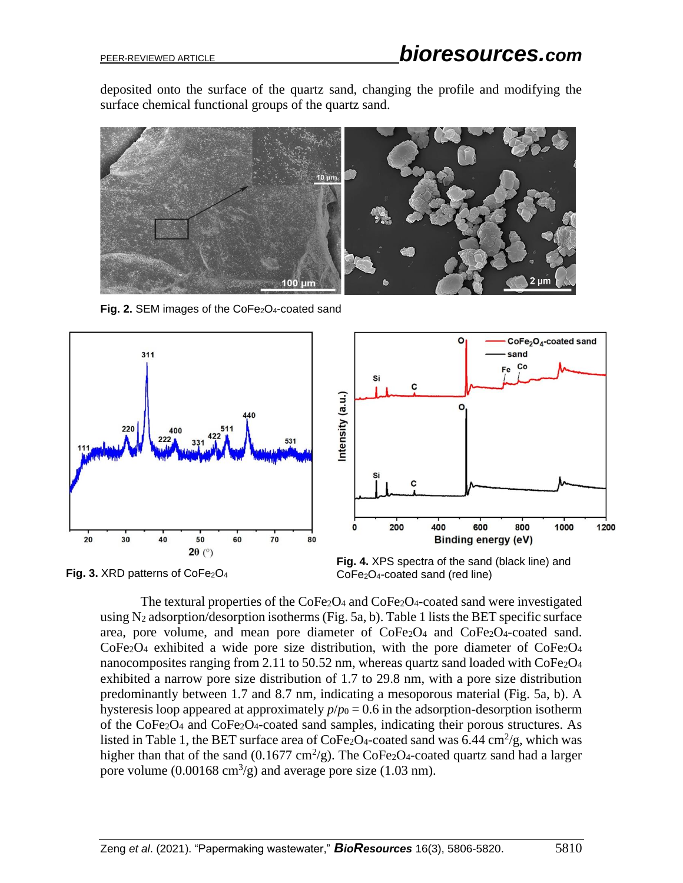deposited onto the surface of the quartz sand, changing the profile and modifying the surface chemical functional groups of the quartz sand.



**Fig. 2. SEM images of the CoFe<sub>2</sub>O<sub>4</sub>-coated sand** 





**Fig. 3. XRD patterns of CoFe<sub>2</sub>O<sub>4</sub>** 

**Fig. 4.** XPS spectra of the sand (black line) and CoFe2O4-coated sand (red line)

The textural properties of the  $CoFe<sub>2</sub>O<sub>4</sub>$  and  $CoFe<sub>2</sub>O<sub>4</sub>$ -coated sand were investigated using N<sup>2</sup> adsorption/desorption isotherms (Fig. 5a, b). Table 1 lists the BET specific surface area, pore volume, and mean pore diameter of CoFe2O<sup>4</sup> and CoFe2O4-coated sand. CoFe2O<sup>4</sup> exhibited a wide pore size distribution, with the pore diameter of CoFe2O<sup>4</sup> nanocomposites ranging from 2.11 to 50.52 nm, whereas quartz sand loaded with CoFe<sub>2</sub>O<sub>4</sub> exhibited a narrow pore size distribution of 1.7 to 29.8 nm, with a pore size distribution predominantly between 1.7 and 8.7 nm, indicating a mesoporous material (Fig. 5a, b). A hysteresis loop appeared at approximately  $p/p_0 = 0.6$  in the adsorption-desorption isotherm of the CoFe2O<sup>4</sup> and CoFe2O4-coated sand samples, indicating their porous structures. As listed in Table 1, the BET surface area of  $\text{CoFe}_2\text{O}_4$ -coated sand was 6.44 cm<sup>2</sup>/g, which was higher than that of the sand (0.1677 cm<sup>2</sup>/g). The CoFe<sub>2</sub>O<sub>4</sub>-coated quartz sand had a larger pore volume  $(0.00168 \text{ cm}^3/\text{g})$  and average pore size (1.03 nm).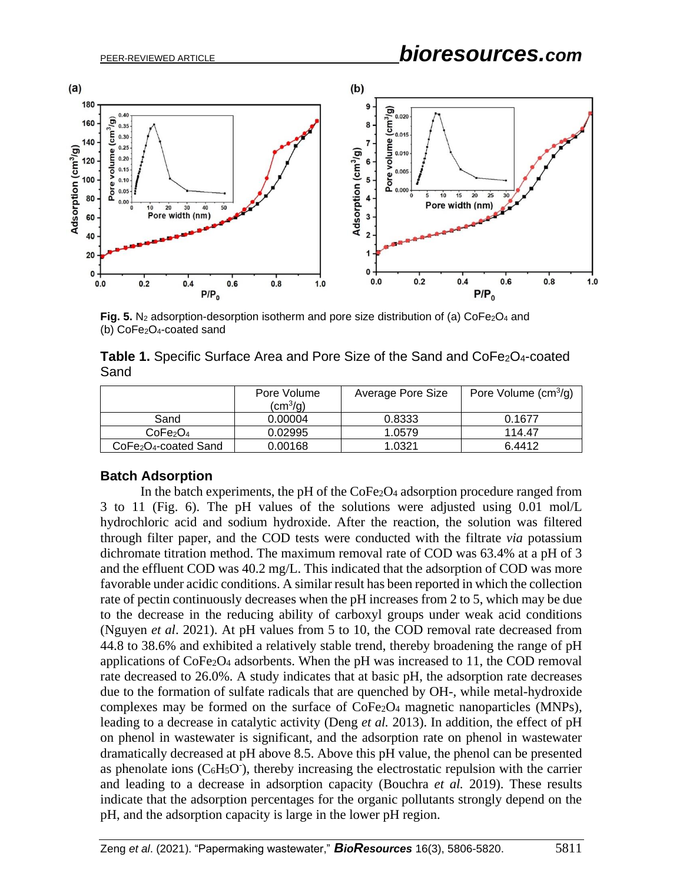

**Fig. 5.** N<sub>2</sub> adsorption-desorption isotherm and pore size distribution of (a)  $\text{CoFe}_2\text{O}_4$  and (b) CoFe2O4-coated sand

| Table 1. Specific Surface Area and Pore Size of the Sand and CoFe <sub>2</sub> O <sub>4</sub> -coated |  |  |
|-------------------------------------------------------------------------------------------------------|--|--|
| Sand                                                                                                  |  |  |

|                                               | Pore Volume<br>$\rm (cm^3/g)$ | Average Pore Size | Pore Volume $(cm3/g)$ |
|-----------------------------------------------|-------------------------------|-------------------|-----------------------|
| Sand                                          | 0.00004                       | 0.8333            | 0.1677                |
| CoFe <sub>2</sub> O <sub>4</sub>              | 0.02995                       | 1.0579            | 114.47                |
| CoFe <sub>2</sub> O <sub>4</sub> -coated Sand | 0.00168                       | 1.0321            | 6.4412                |

#### **Batch Adsorption**

In the batch experiments, the pH of the  $\text{CoFe}_2\text{O}_4$  adsorption procedure ranged from 3 to 11 (Fig. 6). The pH values of the solutions were adjusted using 0.01 mol/L hydrochloric acid and sodium hydroxide. After the reaction, the solution was filtered through filter paper, and the COD tests were conducted with the filtrate *via* potassium dichromate titration method. The maximum removal rate of COD was 63.4% at a pH of 3 and the effluent COD was 40.2 mg/L. This indicated that the adsorption of COD was more favorable under acidic conditions. A similar result has been reported in which the collection rate of pectin continuously decreases when the pH increases from 2 to 5, which may be due to the decrease in the reducing ability of carboxyl groups under weak acid conditions (Nguyen *et al*. 2021). At pH values from 5 to 10, the COD removal rate decreased from 44.8 to 38.6% and exhibited a relatively stable trend, thereby broadening the range of pH applications of  $\text{CoFe}_2\text{O}_4$  adsorbents. When the pH was increased to 11, the COD removal rate decreased to 26.0%. A study indicates that at basic pH, the adsorption rate decreases due to the formation of sulfate radicals that are quenched by OH-, while metal-hydroxide complexes may be formed on the surface of CoFe2O<sup>4</sup> magnetic nanoparticles (MNPs), leading to a decrease in catalytic activity (Deng *et al.* 2013). In addition, the effect of pH on phenol in wastewater is significant, and the adsorption rate on phenol in wastewater dramatically decreased at pH above 8.5. Above this pH value, the phenol can be presented as phenolate ions  $(C<sub>6</sub>H<sub>5</sub>O<sup>-</sup>)$ , thereby increasing the electrostatic repulsion with the carrier and leading to a decrease in adsorption capacity (Bouchra *et al.* 2019). These results indicate that the adsorption percentages for the organic pollutants strongly depend on the pH, and the adsorption capacity is large in the lower pH region.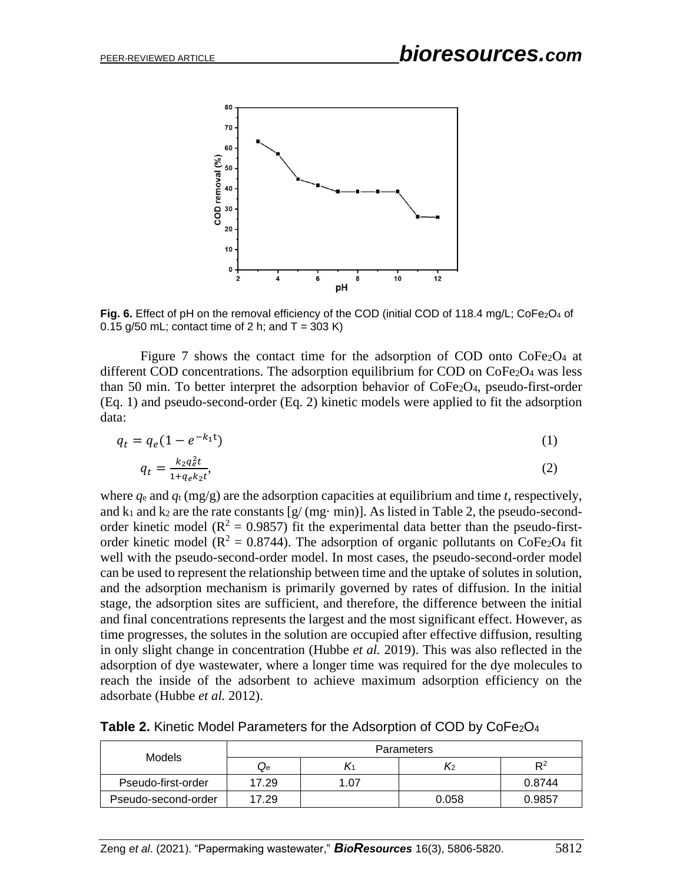

Fig. 6. Effect of pH on the removal efficiency of the COD (initial COD of 118.4 mg/L; CoFe<sub>2</sub>O<sub>4</sub> of 0.15 g/50 mL; contact time of 2 h; and  $T = 303$  K)

Figure 7 shows the contact time for the adsorption of COD onto  $\text{CoFe}_2\text{O}_4$  at different COD concentrations. The adsorption equilibrium for COD on CoFe2O4 was less than 50 min. To better interpret the adsorption behavior of CoFe2O4, pseudo-first-order (Eq. 1) and pseudo-second-order (Eq. 2) kinetic models were applied to fit the adsorption data:

$$
q_t = q_e (1 - e^{-k_1 t}) \tag{1}
$$

$$
q_t = \frac{k_2 q_e^2 t}{1 + q_e k_2 t},\tag{2}
$$

where *q*<sup>e</sup> and *q*<sup>t</sup> (mg/g) are the adsorption capacities at equilibrium and time *t*, respectively, and  $k_1$  and  $k_2$  are the rate constants  $[g/(mg \cdot \text{min})]$ . As listed in Table 2, the pseudo-secondorder kinetic model ( $R^2 = 0.9857$ ) fit the experimental data better than the pseudo-firstorder kinetic model ( $\mathbb{R}^2 = 0.8744$ ). The adsorption of organic pollutants on CoFe<sub>2</sub>O<sub>4</sub> fit well with the pseudo-second-order model. In most cases, the pseudo-second-order model can be used to represent the relationship between time and the uptake of solutes in solution, and the adsorption mechanism is primarily governed by rates of diffusion. In the initial stage, the adsorption sites are sufficient, and therefore, the difference between the initial and final concentrations represents the largest and the most significant effect. However, as time progresses, the solutes in the solution are occupied after effective diffusion, resulting in only slight change in concentration (Hubbe *et al.* 2019). This was also reflected in the adsorption of dye wastewater, where a longer time was required for the dye molecules to reach the inside of the adsorbent to achieve maximum adsorption efficiency on the adsorbate (Hubbe *et al.* 2012).

Table 2. Kinetic Model Parameters for the Adsorption of COD by CoFe<sub>2</sub>O<sub>4</sub>

| Models              | Parameters |      |       |        |
|---------------------|------------|------|-------|--------|
|                     | Qe         |      | K2    | $R^2$  |
| Pseudo-first-order  | 17.29      | 1.07 |       | 0.8744 |
| Pseudo-second-order | 17.29      |      | 0.058 | 0.9857 |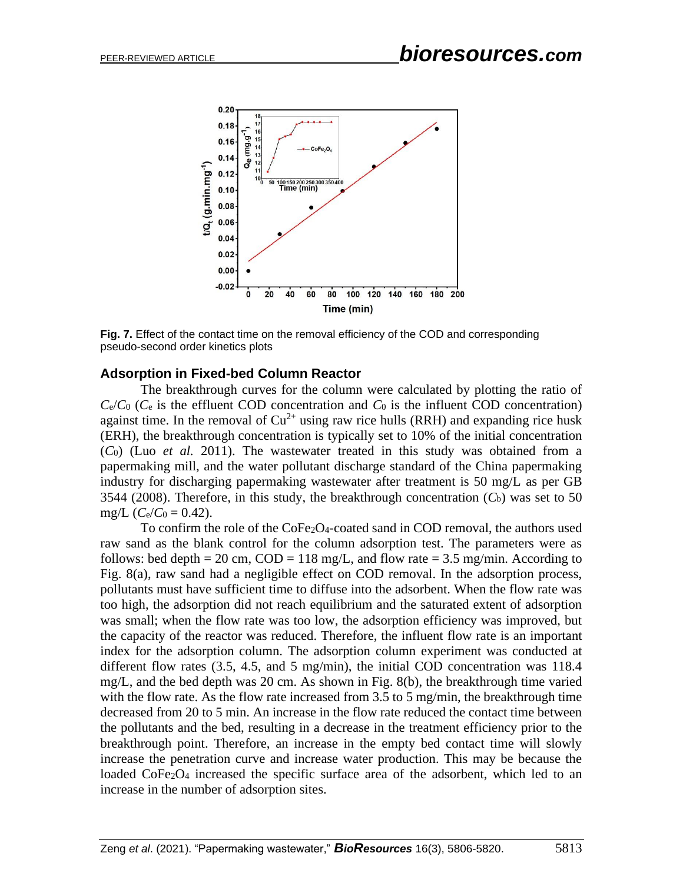

**Fig. 7.** Effect of the contact time on the removal efficiency of the COD and corresponding pseudo-second order kinetics plots

#### **Adsorption in Fixed-bed Column Reactor**

The breakthrough curves for the column were calculated by plotting the ratio of  $C_e/C_0$  ( $C_e$  is the effluent COD concentration and  $C_0$  is the influent COD concentration) against time. In the removal of  $Cu^{2+}$  using raw rice hulls (RRH) and expanding rice husk (ERH), the breakthrough concentration is typically set to 10% of the initial concentration (*C*0) (Luo *et al.* 2011). The wastewater treated in this study was obtained from a papermaking mill, and the water pollutant discharge standard of the China papermaking industry for discharging papermaking wastewater after treatment is 50 mg/L as per GB 3544 (2008). Therefore, in this study, the breakthrough concentration  $(C_b)$  was set to 50 mg/L  $(C_e/C_0 = 0.42)$ .

To confirm the role of the CoFe2O4-coated sand in COD removal, the authors used raw sand as the blank control for the column adsorption test. The parameters were as follows: bed depth = 20 cm,  $COD = 118$  mg/L, and flow rate = 3.5 mg/min. According to Fig. 8(a), raw sand had a negligible effect on COD removal. In the adsorption process, pollutants must have sufficient time to diffuse into the adsorbent. When the flow rate was too high, the adsorption did not reach equilibrium and the saturated extent of adsorption was small; when the flow rate was too low, the adsorption efficiency was improved, but the capacity of the reactor was reduced. Therefore, the influent flow rate is an important index for the adsorption column. The adsorption column experiment was conducted at different flow rates (3.5, 4.5, and 5 mg/min), the initial COD concentration was 118.4 mg/L, and the bed depth was 20 cm. As shown in Fig. 8(b), the breakthrough time varied with the flow rate. As the flow rate increased from 3.5 to 5 mg/min, the breakthrough time decreased from 20 to 5 min. An increase in the flow rate reduced the contact time between the pollutants and the bed, resulting in a decrease in the treatment efficiency prior to the breakthrough point. Therefore, an increase in the empty bed contact time will slowly increase the penetration curve and increase water production. This may be because the loaded CoFe2O<sup>4</sup> increased the specific surface area of the adsorbent, which led to an increase in the number of adsorption sites.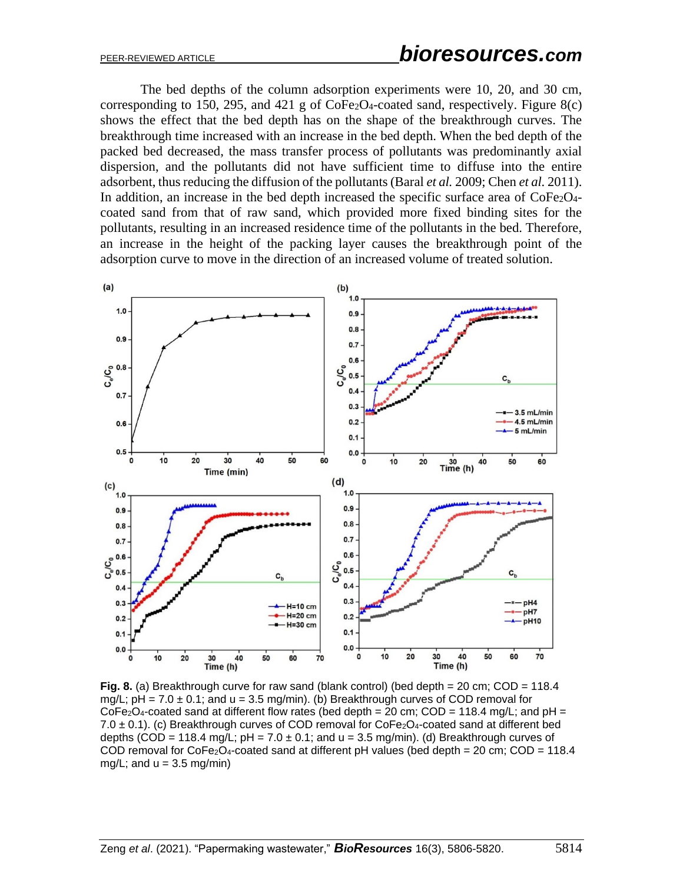The bed depths of the column adsorption experiments were 10, 20, and 30 cm, corresponding to 150, 295, and 421 g of  $\text{CoFe}_2\text{O}_4$ -coated sand, respectively. Figure 8(c) shows the effect that the bed depth has on the shape of the breakthrough curves. The breakthrough time increased with an increase in the bed depth. When the bed depth of the packed bed decreased, the mass transfer process of pollutants was predominantly axial dispersion, and the pollutants did not have sufficient time to diffuse into the entire adsorbent, thus reducing the diffusion of the pollutants (Baral *et al.* 2009; Chen *et al.* 2011). In addition, an increase in the bed depth increased the specific surface area of  $CoFe<sub>2</sub>O<sub>4</sub>$ coated sand from that of raw sand, which provided more fixed binding sites for the pollutants, resulting in an increased residence time of the pollutants in the bed. Therefore, an increase in the height of the packing layer causes the breakthrough point of the adsorption curve to move in the direction of an increased volume of treated solution.



**Fig. 8.** (a) Breakthrough curve for raw sand (blank control) (bed depth = 20 cm; COD = 118.4 mg/L;  $pH = 7.0 \pm 0.1$ ; and  $u = 3.5$  mg/min). (b) Breakthrough curves of COD removal for  $CoFe<sub>2</sub>O<sub>4</sub>$ -coated sand at different flow rates (bed depth = 20 cm; COD = 118.4 mg/L; and pH = 7.0  $\pm$  0.1). (c) Breakthrough curves of COD removal for CoFe<sub>2</sub>O<sub>4</sub>-coated sand at different bed depths (COD = 118.4 mg/L;  $pH = 7.0 \pm 0.1$ ; and  $u = 3.5$  mg/min). (d) Breakthrough curves of COD removal for  $CoFe<sub>2</sub>O<sub>4</sub>$ -coated sand at different pH values (bed depth = 20 cm; COD = 118.4 mg/L; and  $u = 3.5$  mg/min)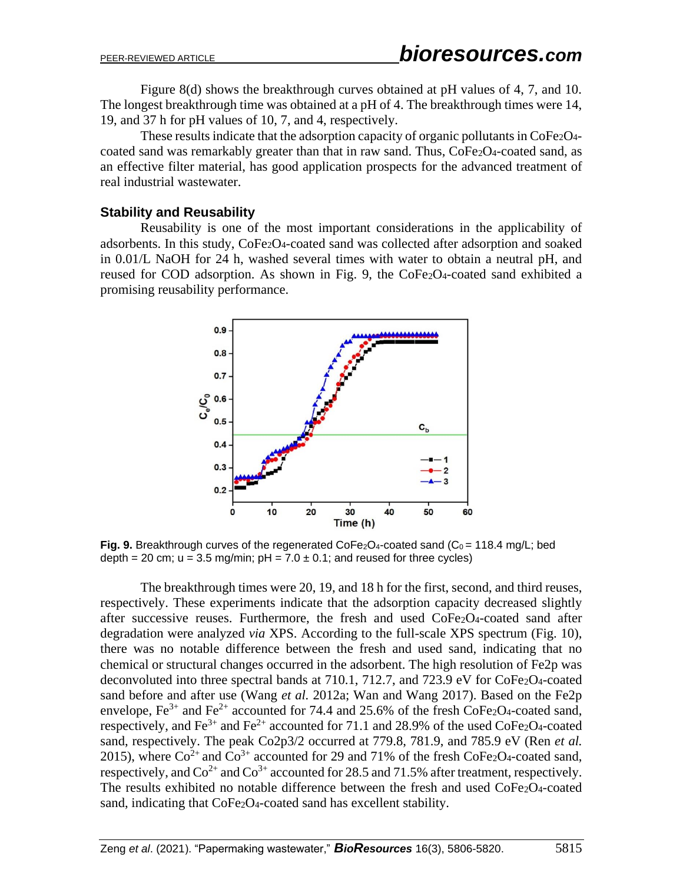Figure 8(d) shows the breakthrough curves obtained at pH values of 4, 7, and 10. The longest breakthrough time was obtained at a pH of 4. The breakthrough times were 14, 19, and 37 h for pH values of 10, 7, and 4, respectively.

These results indicate that the adsorption capacity of organic pollutants in CoFe<sub>2</sub>O<sub>4</sub>coated sand was remarkably greater than that in raw sand. Thus,  $\text{CoFe}_2\text{O}_4$ -coated sand, as an effective filter material, has good application prospects for the advanced treatment of real industrial wastewater.

#### **Stability and Reusability**

Reusability is one of the most important considerations in the applicability of adsorbents. In this study, CoFe2O4-coated sand was collected after adsorption and soaked in 0.01/L NaOH for 24 h, washed several times with water to obtain a neutral pH, and reused for COD adsorption. As shown in Fig. 9, the CoFe<sub>2</sub>O<sub>4</sub>-coated sand exhibited a promising reusability performance.



**Fig. 9.** Breakthrough curves of the regenerated CoFe<sub>2</sub>O<sub>4</sub>-coated sand (C<sub>0</sub> = 118.4 mg/L; bed depth = 20 cm;  $u = 3.5$  mg/min;  $pH = 7.0 \pm 0.1$ ; and reused for three cycles)

The breakthrough times were 20, 19, and 18 h for the first, second, and third reuses, respectively. These experiments indicate that the adsorption capacity decreased slightly after successive reuses. Furthermore, the fresh and used CoFe2O4-coated sand after degradation were analyzed *via* XPS. According to the full-scale XPS spectrum (Fig. 10), there was no notable difference between the fresh and used sand, indicating that no chemical or structural changes occurred in the adsorbent. The high resolution of Fe2p was deconvoluted into three spectral bands at 710.1, 712.7, and 723.9 eV for CoFe<sub>2</sub>O<sub>4</sub>-coated sand before and after use (Wang *et al.* 2012a; Wan and Wang 2017). Based on the Fe2p envelope,  $Fe^{3+}$  and  $Fe^{2+}$  accounted for 74.4 and 25.6% of the fresh CoFe<sub>2</sub>O<sub>4</sub>-coated sand, respectively, and Fe<sup>3+</sup> and Fe<sup>2+</sup> accounted for 71.1 and 28.9% of the used CoFe<sub>2</sub>O<sub>4</sub>-coated sand, respectively. The peak Co2p3/2 occurred at 779.8, 781.9, and 785.9 eV (Ren *et al.* 2015), where  $\text{Co}^{2+}$  and  $\text{Co}^{3+}$  accounted for 29 and 71% of the fresh CoFe<sub>2</sub>O<sub>4</sub>-coated sand, respectively, and  $Co^{2+}$  and  $Co^{3+}$  accounted for 28.5 and 71.5% after treatment, respectively. The results exhibited no notable difference between the fresh and used CoFe2O4-coated sand, indicating that CoFe<sub>2</sub>O<sub>4</sub>-coated sand has excellent stability.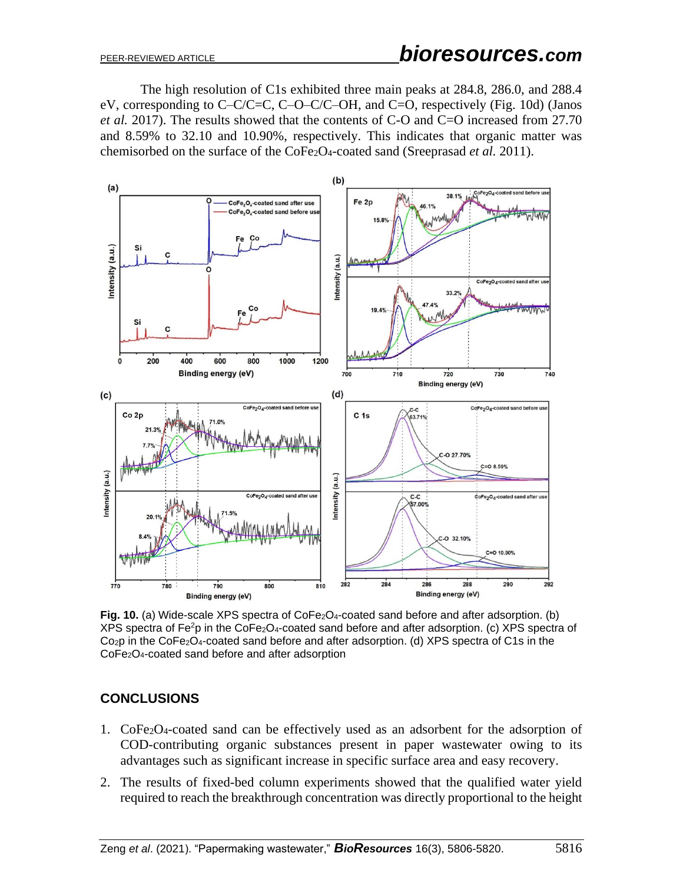The high resolution of C1s exhibited three main peaks at 284.8, 286.0, and 288.4 eV, corresponding to C–C/C=C, C–O–C/C–OH, and C=O, respectively (Fig. 10d) (Janos *et al.* 2017). The results showed that the contents of C-O and C=O increased from 27.70 and 8.59% to 32.10 and 10.90%, respectively. This indicates that organic matter was chemisorbed on the surface of the CoFe2O4-coated sand (Sreeprasad *et al.* 2011).



**Fig. 10.** (a) Wide-scale XPS spectra of CoFe<sub>2</sub>O<sub>4</sub>-coated sand before and after adsorption. (b)  $XPS$  spectra of Fe<sup>2</sup>p in the CoFe<sub>2</sub>O<sub>4</sub>-coated sand before and after adsorption. (c) XPS spectra of Co2p in the CoFe2O4-coated sand before and after adsorption. (d) XPS spectra of C1s in the CoFe2O4-coated sand before and after adsorption

# **CONCLUSIONS**

- 1. CoFe2O4-coated sand can be effectively used as an adsorbent for the adsorption of COD-contributing organic substances present in paper wastewater owing to its advantages such as significant increase in specific surface area and easy recovery.
- 2. The results of fixed-bed column experiments showed that the qualified water yield required to reach the breakthrough concentration was directly proportional to the height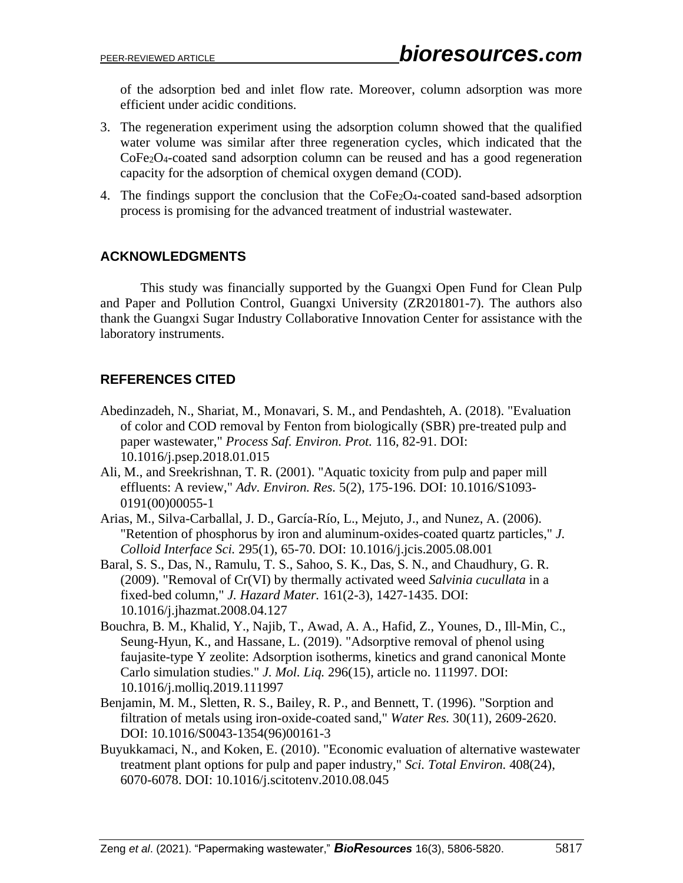of the adsorption bed and inlet flow rate. Moreover, column adsorption was more efficient under acidic conditions.

- 3. The regeneration experiment using the adsorption column showed that the qualified water volume was similar after three regeneration cycles, which indicated that the CoFe2O4-coated sand adsorption column can be reused and has a good regeneration capacity for the adsorption of chemical oxygen demand (COD).
- 4. The findings support the conclusion that the CoFe2O4-coated sand-based adsorption process is promising for the advanced treatment of industrial wastewater.

## **ACKNOWLEDGMENTS**

This study was financially supported by the Guangxi Open Fund for Clean Pulp and Paper and Pollution Control, Guangxi University (ZR201801-7). The authors also thank the Guangxi Sugar Industry Collaborative Innovation Center for assistance with the laboratory instruments.

# **REFERENCES CITED**

- Abedinzadeh, N., Shariat, M., Monavari, S. M., and Pendashteh, A. (2018). "Evaluation of color and COD removal by Fenton from biologically (SBR) pre-treated pulp and paper wastewater," *Process Saf. Environ. Prot.* 116, 82-91. DOI: 10.1016/j.psep.2018.01.015
- Ali, M., and Sreekrishnan, T. R. (2001). "Aquatic toxicity from pulp and paper mill effluents: A review," *Adv. Environ. Res.* 5(2), 175-196. DOI: 10.1016/S1093- 0191(00)00055-1
- Arias, M., Silva-Carballal, J. D., García-Río, L., Mejuto, J., and Nunez, A. (2006). "Retention of phosphorus by iron and aluminum-oxides-coated quartz particles," *J. Colloid Interface Sci.* 295(1), 65-70. DOI: 10.1016/j.jcis.2005.08.001
- Baral, S. S., Das, N., Ramulu, T. S., Sahoo, S. K., Das, S. N., and Chaudhury, G. R. (2009). "Removal of Cr(VI) by thermally activated weed *Salvinia cucullata* in a fixed-bed column," *J. Hazard Mater.* 161(2-3), 1427-1435. DOI: 10.1016/j.jhazmat.2008.04.127
- Bouchra, B. M., Khalid, Y., Najib, T., Awad, A. A., Hafid, Z., Younes, D., Ill-Min, C., Seung-Hyun, K., and Hassane, L. (2019). "Adsorptive removal of phenol using faujasite-type Y zeolite: Adsorption isotherms, kinetics and grand canonical Monte Carlo simulation studies." *J. Mol. Liq.* 296(15), article no. 111997. DOI: 10.1016/j.molliq.2019.111997
- Benjamin, M. M., Sletten, R. S., Bailey, R. P., and Bennett, T. (1996). "Sorption and filtration of metals using iron-oxide-coated sand," *Water Res.* 30(11), 2609-2620. DOI: 10.1016/S0043-1354(96)00161-3
- Buyukkamaci, N., and Koken, E. (2010). "Economic evaluation of alternative wastewater treatment plant options for pulp and paper industry," *Sci. Total Environ.* 408(24), 6070-6078. DOI: 10.1016/j.scitotenv.2010.08.045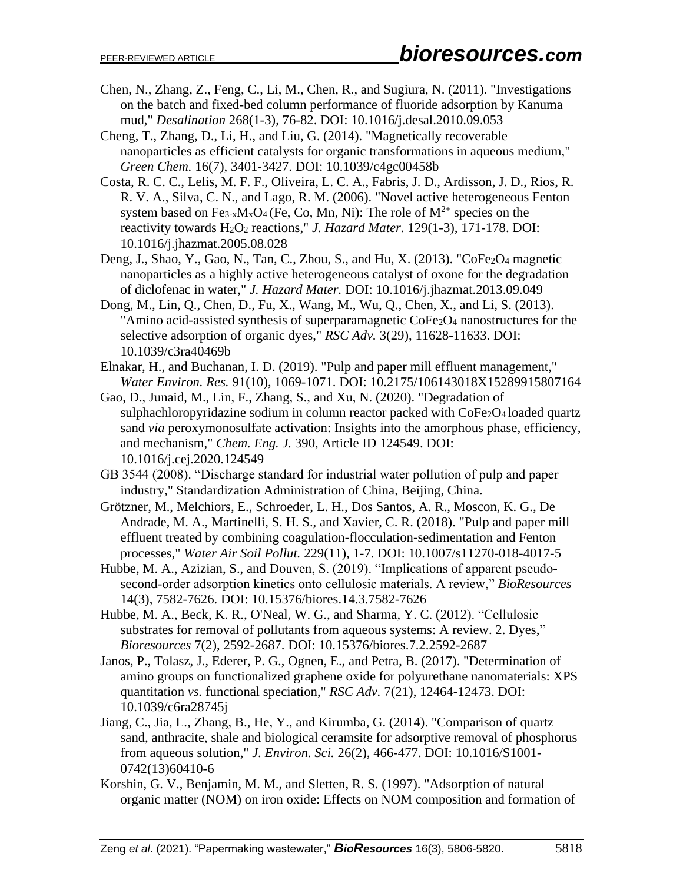- Chen, N., Zhang, Z., Feng, C., Li, M., Chen, R., and Sugiura, N. (2011). "Investigations on the batch and fixed-bed column performance of fluoride adsorption by Kanuma mud," *Desalination* 268(1-3), 76-82. DOI: 10.1016/j.desal.2010.09.053
- Cheng, T., Zhang, D., Li, H., and Liu, G. (2014). "Magnetically recoverable nanoparticles as efficient catalysts for organic transformations in aqueous medium," *Green Chem.* 16(7), 3401-3427. DOI: 10.1039/c4gc00458b
- Costa, R. C. C., Lelis, M. F. F., Oliveira, L. C. A., Fabris, J. D., Ardisson, J. D., Rios, R. R. V. A., Silva, C. N., and Lago, R. M. (2006). "Novel active heterogeneous Fenton system based on Fe<sub>3-x</sub>M<sub>x</sub>O<sub>4</sub> (Fe, Co, Mn, Ni): The role of  $M^{2+}$  species on the reactivity towards H2O<sup>2</sup> reactions," *J. Hazard Mater.* 129(1-3), 171-178. DOI: 10.1016/j.jhazmat.2005.08.028
- Deng, J., Shao, Y., Gao, N., Tan, C., Zhou, S., and Hu, X. (2013). "CoFe2O4 magnetic nanoparticles as a highly active heterogeneous catalyst of oxone for the degradation of diclofenac in water," *J. Hazard Mater.* DOI: 10.1016/j.jhazmat.2013.09.049
- Dong, M., Lin, Q., Chen, D., Fu, X., Wang, M., Wu, Q., Chen, X., and Li, S. (2013). "Amino acid-assisted synthesis of superparamagnetic CoFe2O<sup>4</sup> nanostructures for the selective adsorption of organic dyes," *RSC Adv.* 3(29), 11628-11633. DOI: 10.1039/c3ra40469b
- Elnakar, H., and Buchanan, I. D. (2019). "Pulp and paper mill effluent management," *Water Environ. Res.* 91(10), 1069-1071. DOI: 10.2175/106143018X15289915807164
- Gao, D., Junaid, M., Lin, F., Zhang, S., and Xu, N. (2020). "Degradation of sulphachloropyridazine sodium in column reactor packed with CoFe<sub>2</sub>O<sub>4</sub> loaded quartz sand *via* peroxymonosulfate activation: Insights into the amorphous phase, efficiency, and mechanism," *Chem. Eng. J.* 390, Article ID 124549. DOI: 10.1016/j.cej.2020.124549
- GB 3544 (2008). "Discharge standard for industrial water pollution of pulp and paper industry," Standardization Administration of China, Beijing, China.
- Grötzner, M., Melchiors, E., Schroeder, L. H., Dos Santos, A. R., Moscon, K. G., De Andrade, M. A., Martinelli, S. H. S., and Xavier, C. R. (2018). "Pulp and paper mill effluent treated by combining coagulation-flocculation-sedimentation and Fenton processes," *Water Air Soil Pollut.* 229(11), 1-7. DOI: 10.1007/s11270-018-4017-5
- Hubbe, M. A., Azizian, S., and Douven, S. (2019). "Implications of apparent pseudosecond-order adsorption kinetics onto cellulosic materials. A review," *BioResources* 14(3), 7582-7626. DOI: 10.15376/biores.14.3.7582-7626
- Hubbe, M. A., Beck, K. R., O'Neal, W. G., and Sharma, Y. C. (2012). "Cellulosic substrates for removal of pollutants from aqueous systems: A review. 2. Dyes," *Bioresources* 7(2), 2592-2687. DOI: 10.15376/biores.7.2.2592-2687
- Janos, P., Tolasz, J., Ederer, P. G., Ognen, E., and Petra, B. (2017). "Determination of amino groups on functionalized graphene oxide for polyurethane nanomaterials: XPS quantitation *vs.* functional speciation," *RSC Adv.* 7(21), 12464-12473. DOI: 10.1039/c6ra28745j
- Jiang, C., Jia, L., Zhang, B., He, Y., and Kirumba, G. (2014). "Comparison of quartz sand, anthracite, shale and biological ceramsite for adsorptive removal of phosphorus from aqueous solution," *J. Environ. Sci.* 26(2), 466-477. DOI: 10.1016/S1001- 0742(13)60410-6
- Korshin, G. V., Benjamin, M. M., and Sletten, R. S. (1997). "Adsorption of natural organic matter (NOM) on iron oxide: Effects on NOM composition and formation of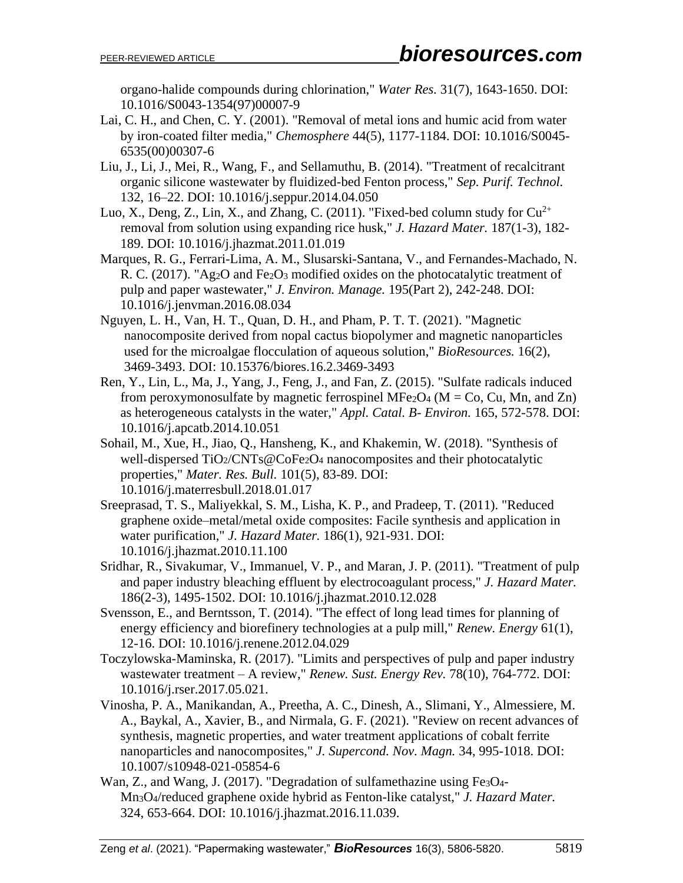organo-halide compounds during chlorination," *Water Res.* 31(7), 1643-1650. DOI: 10.1016/S0043-1354(97)00007-9

- Lai, C. H., and Chen, C. Y. (2001). "Removal of metal ions and humic acid from water by iron-coated filter media," *Chemosphere* 44(5), 1177-1184. DOI: 10.1016/S0045- 6535(00)00307-6
- Liu, J., Li, J., Mei, R., Wang, F., and Sellamuthu, B. (2014). "Treatment of recalcitrant organic silicone wastewater by fluidized-bed Fenton process," *Sep. Purif. Technol.* 132, 16–22. DOI: 10.1016/j.seppur.2014.04.050
- Luo, X., Deng, Z., Lin, X., and Zhang, C. (2011). "Fixed-bed column study for  $Cu^{2+}$ removal from solution using expanding rice husk," *J. Hazard Mater.* 187(1-3), 182- 189. DOI: 10.1016/j.jhazmat.2011.01.019
- Marques, R. G., Ferrari-Lima, A. M., Slusarski-Santana, V., and Fernandes-Machado, N. R. C. (2017). "Ag<sub>2</sub>O and Fe<sub>2</sub>O<sub>3</sub> modified oxides on the photocatalytic treatment of pulp and paper wastewater," *J. Environ. Manage.* 195(Part 2), 242-248. DOI: 10.1016/j.jenvman.2016.08.034
- Nguyen, L. H., Van, H. T., Quan, D. H., and Pham, P. T. T. (2021). "Magnetic nanocomposite derived from nopal cactus biopolymer and magnetic nanoparticles used for the microalgae flocculation of aqueous solution," *BioResources.* 16(2), 3469-3493. DOI: 10.15376/biores.16.2.3469-3493
- Ren, Y., Lin, L., Ma, J., Yang, J., Feng, J., and Fan, Z. (2015). "Sulfate radicals induced from peroxymonosulfate by magnetic ferrospinel MFe<sub>2</sub>O<sub>4</sub> ( $M = Co$ , Cu, Mn, and Zn) as heterogeneous catalysts in the water," *Appl. Catal. B- Environ.* 165, 572-578. DOI: 10.1016/j.apcatb.2014.10.051
- Sohail, M., Xue, H., Jiao, Q., Hansheng, K., and Khakemin, W. (2018). "Synthesis of well-dispersed TiO2/CNTs@CoFe2O4 nanocomposites and their photocatalytic properties," *Mater. Res. Bull.* 101(5), 83-89. DOI: 10.1016/j.materresbull.2018.01.017
- Sreeprasad, T. S., Maliyekkal, S. M., Lisha, K. P., and Pradeep, T. (2011). "Reduced graphene oxide–metal/metal oxide composites: Facile synthesis and application in water purification," *J. Hazard Mater.* 186(1), 921-931. DOI: 10.1016/j.jhazmat.2010.11.100
- Sridhar, R., Sivakumar, V., Immanuel, V. P., and Maran, J. P. (2011). "Treatment of pulp and paper industry bleaching effluent by electrocoagulant process," *J. Hazard Mater.* 186(2-3), 1495-1502. DOI: 10.1016/j.jhazmat.2010.12.028
- Svensson, E., and Berntsson, T. (2014). "The effect of long lead times for planning of energy efficiency and biorefinery technologies at a pulp mill," *Renew. Energy* 61(1), 12-16. DOI: 10.1016/j.renene.2012.04.029
- Toczylowska-Maminska, R. (2017). "Limits and perspectives of pulp and paper industry wastewater treatment – A review," *Renew. Sust. Energy Rev.* 78(10), 764-772. DOI: 10.1016/j.rser.2017.05.021.
- Vinosha, P. A., Manikandan, A., Preetha, A. C., Dinesh, A., Slimani, Y., Almessiere, M. A., Baykal, A., Xavier, B., and Nirmala, G. F. (2021). "Review on recent advances of synthesis, magnetic properties, and water treatment applications of cobalt ferrite nanoparticles and nanocomposites," *J. Supercond. Nov. Magn.* 34, 995-1018. DOI: 10.1007/s10948-021-05854-6
- Wan, Z., and Wang, J. (2017). "Degradation of sulfamethazine using Fe<sub>3</sub>O<sub>4</sub>-Mn3O4/reduced graphene oxide hybrid as Fenton-like catalyst," *J. Hazard Mater.* 324, 653-664. DOI: 10.1016/j.jhazmat.2016.11.039.